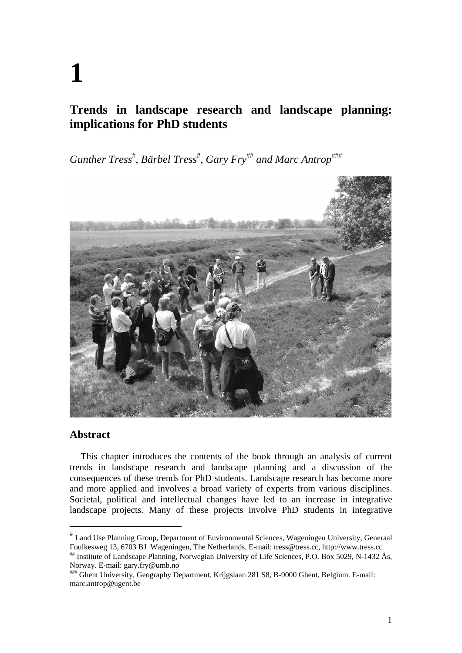# **Trends in landscape research and landscape planning: implications for PhD students**

 $G$ unther Tress<sup>#</sup>, Bärbel Tress<sup>#</sup>, Gary Fry<sup>##</sup> and Marc Antrop<sup>###</sup>



# **Abstract**

This chapter introduces the contents of the book through an analysis of current trends in landscape research and landscape planning and a discussion of the consequences of these trends for PhD students. Landscape research has become more and more applied and involves a broad variety of experts from various disciplines. Societal, political and intellectual changes have led to an increase in integrative landscape projects. Many of these projects involve PhD students in integrative

Land Use Planning Group, Department of Environmental Sciences, Wageningen University, Generaal Foulkesweg 13, 6703 BJ Wageningen, The Netherlands. E-mail: tress@tress.cc, http://www.tress.cc

<sup>&</sup>lt;sup>##</sup> Institute of Landscape Planning, Norwegian University of Life Sciences, P.O. Box 5029, N-1432 Ås, Norway. E-mail: gary.fry@umb.no

Ghent University, Geography Department, Krijgslaan 281 S8, B-9000 Ghent, Belgium. E-mail: marc.antrop@ugent.be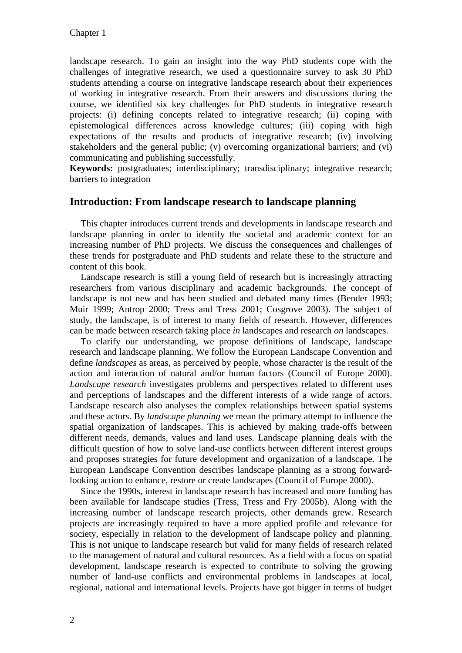landscape research. To gain an insight into the way PhD students cope with the challenges of integrative research, we used a questionnaire survey to ask 30 PhD students attending a course on integrative landscape research about their experiences of working in integrative research. From their answers and discussions during the course, we identified six key challenges for PhD students in integrative research projects: (i) defining concepts related to integrative research; (ii) coping with epistemological differences across knowledge cultures; (iii) coping with high expectations of the results and products of integrative research; (iv) involving stakeholders and the general public; (v) overcoming organizational barriers; and (vi) communicating and publishing successfully.

**Keywords:** postgraduates; interdisciplinary; transdisciplinary; integrative research; barriers to integration

### **Introduction: From landscape research to landscape planning**

This chapter introduces current trends and developments in landscape research and landscape planning in order to identify the societal and academic context for an increasing number of PhD projects. We discuss the consequences and challenges of these trends for postgraduate and PhD students and relate these to the structure and content of this book.

Landscape research is still a young field of research but is increasingly attracting researchers from various disciplinary and academic backgrounds. The concept of landscape is not new and has been studied and debated many times (Bender 1993; Muir 1999; Antrop 2000; Tress and Tress 2001; Cosgrove 2003). The subject of study, the landscape, is of interest to many fields of research. However, differences can be made between research taking place *in* landscapes and research *on* landscapes.

To clarify our understanding, we propose definitions of landscape, landscape research and landscape planning. We follow the European Landscape Convention and define *landscapes* as areas, as perceived by people, whose character is the result of the action and interaction of natural and/or human factors (Council of Europe 2000). *Landscape research* investigates problems and perspectives related to different uses and perceptions of landscapes and the different interests of a wide range of actors. Landscape research also analyses the complex relationships between spatial systems and these actors. By *landscape planning* we mean the primary attempt to influence the spatial organization of landscapes. This is achieved by making trade-offs between different needs, demands, values and land uses. Landscape planning deals with the difficult question of how to solve land-use conflicts between different interest groups and proposes strategies for future development and organization of a landscape. The European Landscape Convention describes landscape planning as a strong forwardlooking action to enhance, restore or create landscapes (Council of Europe 2000).

Since the 1990s, interest in landscape research has increased and more funding has been available for landscape studies (Tress, Tress and Fry 2005b). Along with the increasing number of landscape research projects, other demands grew. Research projects are increasingly required to have a more applied profile and relevance for society, especially in relation to the development of landscape policy and planning. This is not unique to landscape research but valid for many fields of research related to the management of natural and cultural resources. As a field with a focus on spatial development, landscape research is expected to contribute to solving the growing number of land-use conflicts and environmental problems in landscapes at local, regional, national and international levels. Projects have got bigger in terms of budget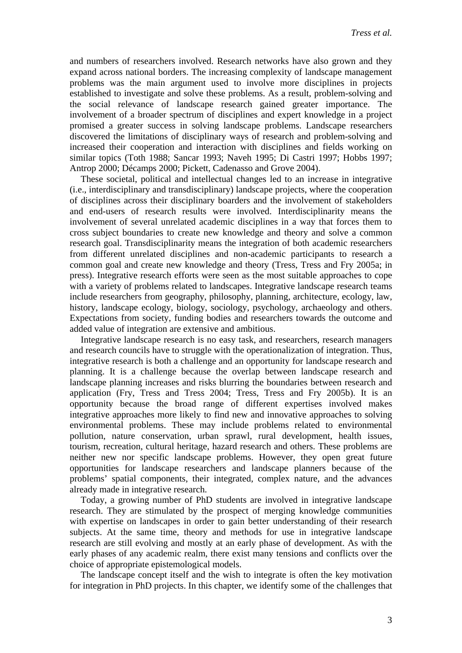and numbers of researchers involved. Research networks have also grown and they expand across national borders. The increasing complexity of landscape management problems was the main argument used to involve more disciplines in projects established to investigate and solve these problems. As a result, problem-solving and the social relevance of landscape research gained greater importance. The involvement of a broader spectrum of disciplines and expert knowledge in a project promised a greater success in solving landscape problems. Landscape researchers discovered the limitations of disciplinary ways of research and problem-solving and increased their cooperation and interaction with disciplines and fields working on similar topics (Toth 1988; Sancar 1993; Naveh 1995; Di Castri 1997; Hobbs 1997; Antrop 2000; Décamps 2000; Pickett, Cadenasso and Grove 2004).

These societal, political and intellectual changes led to an increase in integrative (i.e., interdisciplinary and transdisciplinary) landscape projects, where the cooperation of disciplines across their disciplinary boarders and the involvement of stakeholders and end-users of research results were involved. Interdisciplinarity means the involvement of several unrelated academic disciplines in a way that forces them to cross subject boundaries to create new knowledge and theory and solve a common research goal. Transdisciplinarity means the integration of both academic researchers from different unrelated disciplines and non-academic participants to research a common goal and create new knowledge and theory (Tress, Tress and Fry 2005a; in press). Integrative research efforts were seen as the most suitable approaches to cope with a variety of problems related to landscapes. Integrative landscape research teams include researchers from geography, philosophy, planning, architecture, ecology, law, history, landscape ecology, biology, sociology, psychology, archaeology and others. Expectations from society, funding bodies and researchers towards the outcome and added value of integration are extensive and ambitious.

Integrative landscape research is no easy task, and researchers, research managers and research councils have to struggle with the operationalization of integration. Thus, integrative research is both a challenge and an opportunity for landscape research and planning. It is a challenge because the overlap between landscape research and landscape planning increases and risks blurring the boundaries between research and application (Fry, Tress and Tress 2004; Tress, Tress and Fry 2005b). It is an opportunity because the broad range of different expertises involved makes integrative approaches more likely to find new and innovative approaches to solving environmental problems. These may include problems related to environmental pollution, nature conservation, urban sprawl, rural development, health issues, tourism, recreation, cultural heritage, hazard research and others. These problems are neither new nor specific landscape problems. However, they open great future opportunities for landscape researchers and landscape planners because of the problems' spatial components, their integrated, complex nature, and the advances already made in integrative research.

Today, a growing number of PhD students are involved in integrative landscape research. They are stimulated by the prospect of merging knowledge communities with expertise on landscapes in order to gain better understanding of their research subjects. At the same time, theory and methods for use in integrative landscape research are still evolving and mostly at an early phase of development. As with the early phases of any academic realm, there exist many tensions and conflicts over the choice of appropriate epistemological models.

The landscape concept itself and the wish to integrate is often the key motivation for integration in PhD projects. In this chapter, we identify some of the challenges that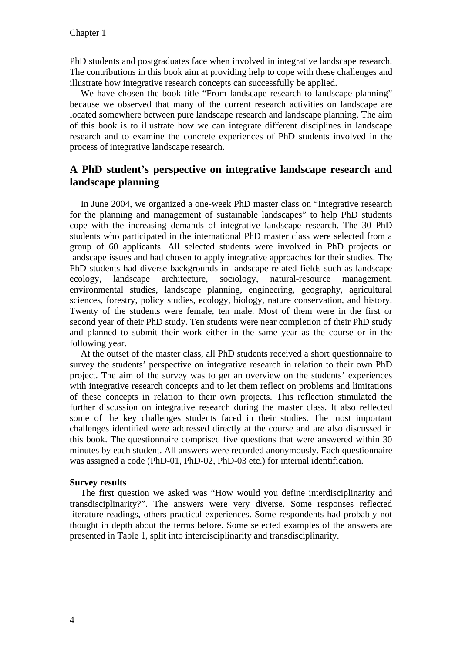PhD students and postgraduates face when involved in integrative landscape research. The contributions in this book aim at providing help to cope with these challenges and illustrate how integrative research concepts can successfully be applied.

We have chosen the book title "From landscape research to landscape planning" because we observed that many of the current research activities on landscape are located somewhere between pure landscape research and landscape planning. The aim of this book is to illustrate how we can integrate different disciplines in landscape research and to examine the concrete experiences of PhD students involved in the process of integrative landscape research.

# **A PhD student's perspective on integrative landscape research and landscape planning**

In June 2004, we organized a one-week PhD master class on "Integrative research for the planning and management of sustainable landscapes" to help PhD students cope with the increasing demands of integrative landscape research. The 30 PhD students who participated in the international PhD master class were selected from a group of 60 applicants. All selected students were involved in PhD projects on landscape issues and had chosen to apply integrative approaches for their studies. The PhD students had diverse backgrounds in landscape-related fields such as landscape ecology, landscape architecture, sociology, natural-resource management, environmental studies, landscape planning, engineering, geography, agricultural sciences, forestry, policy studies, ecology, biology, nature conservation, and history. Twenty of the students were female, ten male. Most of them were in the first or second year of their PhD study. Ten students were near completion of their PhD study and planned to submit their work either in the same year as the course or in the following year.

At the outset of the master class, all PhD students received a short questionnaire to survey the students' perspective on integrative research in relation to their own PhD project. The aim of the survey was to get an overview on the students' experiences with integrative research concepts and to let them reflect on problems and limitations of these concepts in relation to their own projects. This reflection stimulated the further discussion on integrative research during the master class. It also reflected some of the key challenges students faced in their studies. The most important challenges identified were addressed directly at the course and are also discussed in this book. The questionnaire comprised five questions that were answered within 30 minutes by each student. All answers were recorded anonymously. Each questionnaire was assigned a code (PhD-01, PhD-02, PhD-03 etc.) for internal identification.

#### **Survey results**

The first question we asked was "How would you define interdisciplinarity and transdisciplinarity?". The answers were very diverse. Some responses reflected literature readings, others practical experiences. Some respondents had probably not thought in depth about the terms before. Some selected examples of the answers are presented in Table 1, split into interdisciplinarity and transdisciplinarity.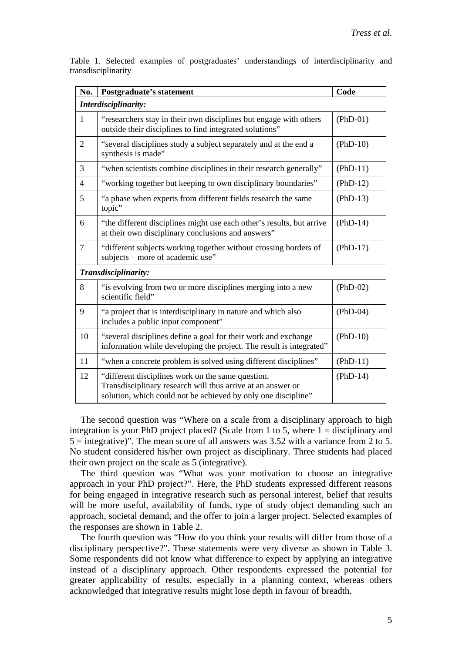| No.                  | <b>Postgraduate's statement</b>                                                                                                                                                   | Code       |  |  |
|----------------------|-----------------------------------------------------------------------------------------------------------------------------------------------------------------------------------|------------|--|--|
| Interdisciplinarity: |                                                                                                                                                                                   |            |  |  |
| $\mathbf{1}$         | "researchers stay in their own disciplines but engage with others<br>outside their disciplines to find integrated solutions"                                                      | $(PhD-01)$ |  |  |
| $\overline{2}$       | "several disciplines study a subject separately and at the end a<br>synthesis is made"                                                                                            | $(PhD-10)$ |  |  |
| 3                    | "when scientists combine disciplines in their research generally"                                                                                                                 | $(PhD-11)$ |  |  |
| $\overline{4}$       | "working together but keeping to own disciplinary boundaries"                                                                                                                     | $(PhD-12)$ |  |  |
| 5                    | "a phase when experts from different fields research the same<br>topic"                                                                                                           | $(PhD-13)$ |  |  |
| 6                    | "the different disciplines might use each other's results, but arrive<br>at their own disciplinary conclusions and answers"                                                       | $(PhD-14)$ |  |  |
| $\overline{7}$       | "different subjects working together without crossing borders of<br>subjects – more of academic use"                                                                              | $(PhD-17)$ |  |  |
| Transdisciplinarity: |                                                                                                                                                                                   |            |  |  |
| 8                    | "is evolving from two or more disciplines merging into a new<br>scientific field"                                                                                                 | $(PhD-02)$ |  |  |
| 9                    | "a project that is interdisciplinary in nature and which also<br>includes a public input component"                                                                               | $(PhD-04)$ |  |  |
| 10                   | "several disciplines define a goal for their work and exchange<br>information while developing the project. The result is integrated"                                             | $(PhD-10)$ |  |  |
| 11                   | "when a concrete problem is solved using different disciplines"                                                                                                                   | $(PhD-11)$ |  |  |
| 12                   | "different disciplines work on the same question.<br>Transdisciplinary research will thus arrive at an answer or<br>solution, which could not be achieved by only one discipline" | $(PhD-14)$ |  |  |

Table 1. Selected examples of postgraduates' understandings of interdisciplinarity and transdisciplinarity

The second question was "Where on a scale from a disciplinary approach to high integration is your PhD project placed? (Scale from 1 to 5, where  $1 =$  disciplinary and  $5 =$  integrative)". The mean score of all answers was 3.52 with a variance from 2 to 5. No student considered his/her own project as disciplinary. Three students had placed their own project on the scale as 5 (integrative).

The third question was "What was your motivation to choose an integrative approach in your PhD project?". Here, the PhD students expressed different reasons for being engaged in integrative research such as personal interest, belief that results will be more useful, availability of funds, type of study object demanding such an approach, societal demand, and the offer to join a larger project. Selected examples of the responses are shown in Table 2.

The fourth question was "How do you think your results will differ from those of a disciplinary perspective?". These statements were very diverse as shown in Table 3. Some respondents did not know what difference to expect by applying an integrative instead of a disciplinary approach. Other respondents expressed the potential for greater applicability of results, especially in a planning context, whereas others acknowledged that integrative results might lose depth in favour of breadth.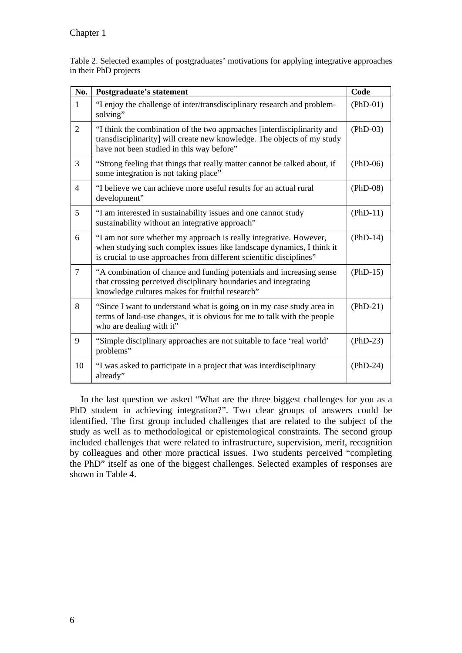Table 2. Selected examples of postgraduates' motivations for applying integrative approaches in their PhD projects

| No.            | Postgraduate's statement                                                                                                                                                                                           | Code       |
|----------------|--------------------------------------------------------------------------------------------------------------------------------------------------------------------------------------------------------------------|------------|
| $\mathbf{1}$   | "I enjoy the challenge of inter/transdisciplinary research and problem-<br>solving"                                                                                                                                | $(PhD-01)$ |
| $\overline{2}$ | "I think the combination of the two approaches [interdisciplinarity and<br>transdisciplinarity] will create new knowledge. The objects of my study<br>have not been studied in this way before"                    | $(PhD-03)$ |
| 3              | "Strong feeling that things that really matter cannot be talked about, if<br>some integration is not taking place"                                                                                                 | $(PhD-06)$ |
| $\overline{4}$ | "I believe we can achieve more useful results for an actual rural<br>development"                                                                                                                                  | $(PhD-08)$ |
| 5              | "I am interested in sustainability issues and one cannot study<br>sustainability without an integrative approach"                                                                                                  | $(PhD-11)$ |
| 6              | "I am not sure whether my approach is really integrative. However,<br>when studying such complex issues like landscape dynamics, I think it<br>is crucial to use approaches from different scientific disciplines" | $(PhD-14)$ |
| $\overline{7}$ | "A combination of chance and funding potentials and increasing sense<br>that crossing perceived disciplinary boundaries and integrating<br>knowledge cultures makes for fruitful research"                         | $(PhD-15)$ |
| 8              | "Since I want to understand what is going on in my case study area in<br>terms of land-use changes, it is obvious for me to talk with the people<br>who are dealing with it"                                       | $(PhD-21)$ |
| 9              | "Simple disciplinary approaches are not suitable to face 'real world'<br>problems"                                                                                                                                 | $(PhD-23)$ |
| 10             | "I was asked to participate in a project that was interdisciplinary<br>already"                                                                                                                                    | $(PhD-24)$ |

In the last question we asked "What are the three biggest challenges for you as a PhD student in achieving integration?". Two clear groups of answers could be identified. The first group included challenges that are related to the subject of the study as well as to methodological or epistemological constraints. The second group included challenges that were related to infrastructure, supervision, merit, recognition by colleagues and other more practical issues. Two students perceived "completing the PhD" itself as one of the biggest challenges. Selected examples of responses are shown in Table 4.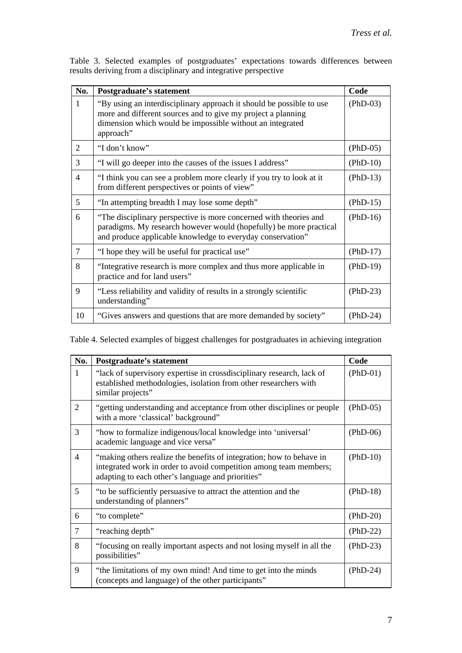| No.            | Postgraduate's statement                                                                                                                                                                                       | Code       |
|----------------|----------------------------------------------------------------------------------------------------------------------------------------------------------------------------------------------------------------|------------|
| 1              | "By using an interdisciplinary approach it should be possible to use<br>more and different sources and to give my project a planning<br>dimension which would be impossible without an integrated<br>approach" | $(PhD-03)$ |
| 2              | "I don't know"                                                                                                                                                                                                 | $(PhD-05)$ |
| 3              | "I will go deeper into the causes of the issues I address"                                                                                                                                                     | $(PhD-10)$ |
| $\overline{4}$ | "I think you can see a problem more clearly if you try to look at it<br>from different perspectives or points of view"                                                                                         | $(PhD-13)$ |
| 5              | "In attempting breadth I may lose some depth"                                                                                                                                                                  | $(PhD-15)$ |
| 6              | "The disciplinary perspective is more concerned with theories and<br>paradigms. My research however would (hopefully) be more practical<br>and produce applicable knowledge to everyday conservation"          | $(PhD-16)$ |
| 7              | "I hope they will be useful for practical use"                                                                                                                                                                 | $(PhD-17)$ |
| 8              | "Integrative research is more complex and thus more applicable in<br>practice and for land users"                                                                                                              | $(PhD-19)$ |
| 9              | "Less reliability and validity of results in a strongly scientific<br>understanding"                                                                                                                           | $(PhD-23)$ |
| 10             | "Gives answers and questions that are more demanded by society"                                                                                                                                                | $(PhD-24)$ |

Table 3. Selected examples of postgraduates' expectations towards differences between results deriving from a disciplinary and integrative perspective

Table 4. Selected examples of biggest challenges for postgraduates in achieving integration

| No.            | Postgraduate's statement                                                                                                                                                                       | Code       |
|----------------|------------------------------------------------------------------------------------------------------------------------------------------------------------------------------------------------|------------|
| 1              | "lack of supervisory expertise in crossdisciplinary research, lack of<br>established methodologies, isolation from other researchers with<br>similar projects"                                 | $(PhD-01)$ |
| $\overline{2}$ | "getting understanding and acceptance from other disciplines or people<br>with a more 'classical' background"                                                                                  | $(PhD-05)$ |
| 3              | "how to formalize indigenous/local knowledge into 'universal'<br>academic language and vice versa"                                                                                             | $(PhD-06)$ |
| 4              | "making others realize the benefits of integration; how to behave in<br>integrated work in order to avoid competition among team members;<br>adapting to each other's language and priorities" | $(PhD-10)$ |
| 5              | "to be sufficiently persuasive to attract the attention and the<br>understanding of planners"                                                                                                  | $(PhD-18)$ |
| 6              | "to complete"                                                                                                                                                                                  | $(PhD-20)$ |
| $\tau$         | "reaching depth"                                                                                                                                                                               | $(PhD-22)$ |
| 8              | "focusing on really important aspects and not losing myself in all the<br>possibilities"                                                                                                       | $(PhD-23)$ |
| 9              | "the limitations of my own mind! And time to get into the minds<br>(concepts and language) of the other participants"                                                                          | $(PhD-24)$ |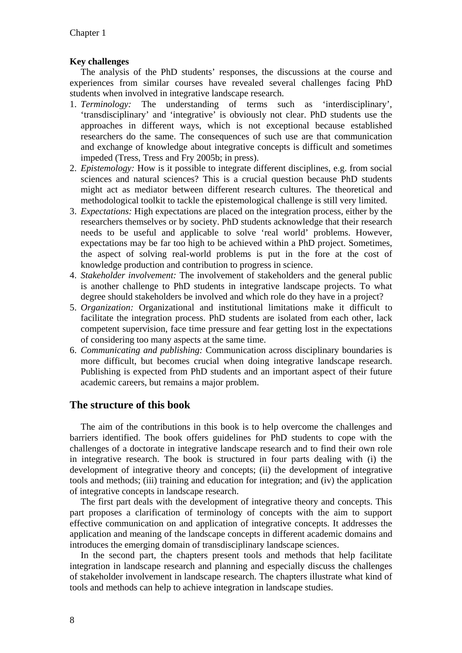### **Key challenges**

The analysis of the PhD students' responses, the discussions at the course and experiences from similar courses have revealed several challenges facing PhD students when involved in integrative landscape research.

- 1. *Terminology:* The understanding of terms such as 'interdisciplinary', 'transdisciplinary' and 'integrative' is obviously not clear. PhD students use the approaches in different ways, which is not exceptional because established researchers do the same. The consequences of such use are that communication and exchange of knowledge about integrative concepts is difficult and sometimes impeded (Tress, Tress and Fry 2005b; in press).
- 2. *Epistemology:* How is it possible to integrate different disciplines, e.g. from social sciences and natural sciences? This is a crucial question because PhD students might act as mediator between different research cultures. The theoretical and methodological toolkit to tackle the epistemological challenge is still very limited.
- 3. *Expectations:* High expectations are placed on the integration process, either by the researchers themselves or by society. PhD students acknowledge that their research needs to be useful and applicable to solve 'real world' problems. However, expectations may be far too high to be achieved within a PhD project. Sometimes, the aspect of solving real-world problems is put in the fore at the cost of knowledge production and contribution to progress in science.
- 4. *Stakeholder involvement:* The involvement of stakeholders and the general public is another challenge to PhD students in integrative landscape projects. To what degree should stakeholders be involved and which role do they have in a project?
- 5. *Organization:* Organizational and institutional limitations make it difficult to facilitate the integration process. PhD students are isolated from each other, lack competent supervision, face time pressure and fear getting lost in the expectations of considering too many aspects at the same time.
- 6. *Communicating and publishing:* Communication across disciplinary boundaries is more difficult, but becomes crucial when doing integrative landscape research. Publishing is expected from PhD students and an important aspect of their future academic careers, but remains a major problem.

# **The structure of this book**

The aim of the contributions in this book is to help overcome the challenges and barriers identified. The book offers guidelines for PhD students to cope with the challenges of a doctorate in integrative landscape research and to find their own role in integrative research. The book is structured in four parts dealing with (i) the development of integrative theory and concepts; (ii) the development of integrative tools and methods; (iii) training and education for integration; and (iv) the application of integrative concepts in landscape research.

The first part deals with the development of integrative theory and concepts. This part proposes a clarification of terminology of concepts with the aim to support effective communication on and application of integrative concepts. It addresses the application and meaning of the landscape concepts in different academic domains and introduces the emerging domain of transdisciplinary landscape sciences.

In the second part, the chapters present tools and methods that help facilitate integration in landscape research and planning and especially discuss the challenges of stakeholder involvement in landscape research. The chapters illustrate what kind of tools and methods can help to achieve integration in landscape studies.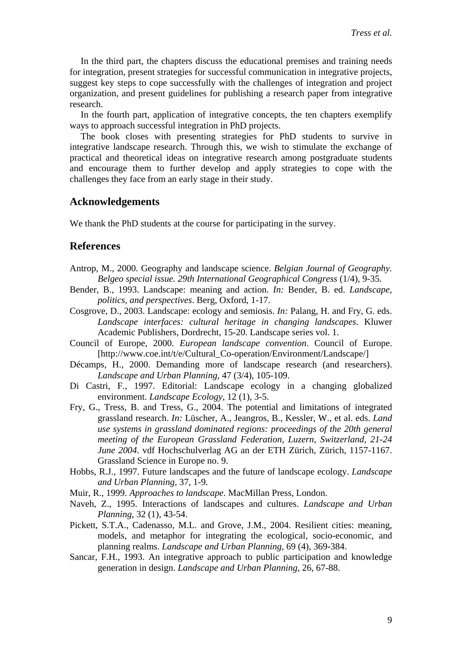In the third part, the chapters discuss the educational premises and training needs for integration, present strategies for successful communication in integrative projects, suggest key steps to cope successfully with the challenges of integration and project organization, and present guidelines for publishing a research paper from integrative research.

In the fourth part, application of integrative concepts, the ten chapters exemplify ways to approach successful integration in PhD projects.

The book closes with presenting strategies for PhD students to survive in integrative landscape research. Through this, we wish to stimulate the exchange of practical and theoretical ideas on integrative research among postgraduate students and encourage them to further develop and apply strategies to cope with the challenges they face from an early stage in their study.

### **Acknowledgements**

We thank the PhD students at the course for participating in the survey.

#### **References**

- Antrop, M., 2000. Geography and landscape science. *Belgian Journal of Geography. Belgeo special issue. 29th International Geographical Congress* (1/4), 9-35.
- Bender, B., 1993. Landscape: meaning and action. *In:* Bender, B. ed. *Landscape, politics, and perspectives*. Berg, Oxford, 1-17.
- Cosgrove, D., 2003. Landscape: ecology and semiosis. *In:* Palang, H. and Fry, G. eds. *Landscape interfaces: cultural heritage in changing landscapes*. Kluwer Academic Publishers, Dordrecht, 15-20. Landscape series vol. 1.
- Council of Europe, 2000. *European landscape convention*. Council of Europe. [http://www.coe.int/t/e/Cultural\_Co-operation/Environment/Landscape/]
- Décamps, H., 2000. Demanding more of landscape research (and researchers). *Landscape and Urban Planning,* 47 (3/4), 105-109.
- Di Castri, F., 1997. Editorial: Landscape ecology in a changing globalized environment. *Landscape Ecology,* 12 (1), 3-5.
- Fry, G., Tress, B. and Tress, G., 2004. The potential and limitations of integrated grassland research. *In:* Lüscher, A., Jeangros, B., Kessler, W., et al. eds. *Land use systems in grassland dominated regions: proceedings of the 20th general meeting of the European Grassland Federation, Luzern, Switzerland, 21-24 June 2004*. vdf Hochschulverlag AG an der ETH Zürich, Zürich, 1157-1167. Grassland Science in Europe no. 9.
- Hobbs, R.J., 1997. Future landscapes and the future of landscape ecology. *Landscape and Urban Planning,* 37, 1-9.
- Muir, R., 1999. *Approaches to landscape*. MacMillan Press, London.
- Naveh, Z., 1995. Interactions of landscapes and cultures. *Landscape and Urban Planning,* 32 (1), 43-54.
- Pickett, S.T.A., Cadenasso, M.L. and Grove, J.M., 2004. Resilient cities: meaning, models, and metaphor for integrating the ecological, socio-economic, and planning realms. *Landscape and Urban Planning,* 69 (4), 369-384.
- Sancar, F.H., 1993. An integrative approach to public participation and knowledge generation in design. *Landscape and Urban Planning,* 26, 67-88.